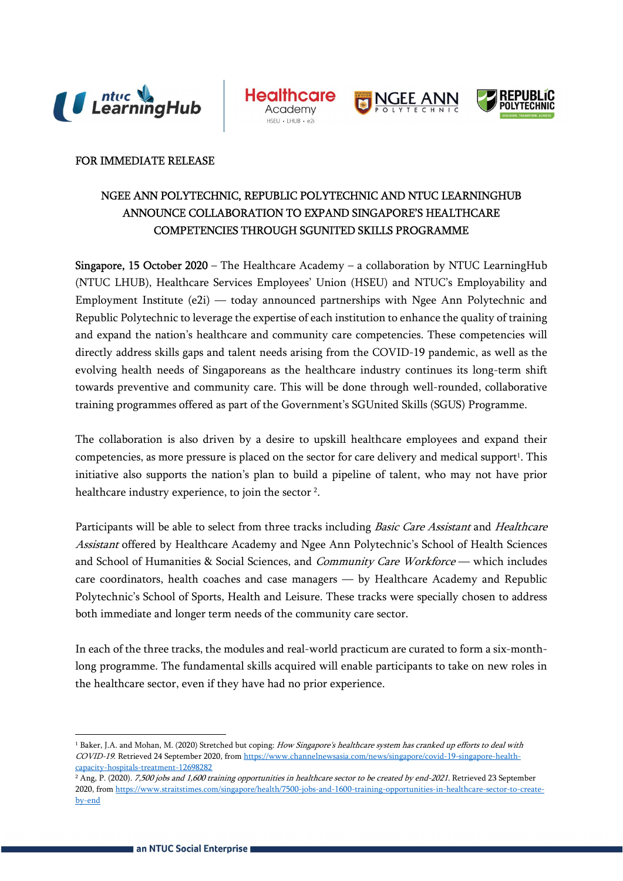







### FOR IMMEDIATE RELEASE

# NGEE ANN POLYTECHNIC, REPUBLIC POLYTECHNIC AND NTUC LEARNINGHUB ANNOUNCE COLLABORATION TO EXPAND SINGAPORE'S HEALTHCARE COMPETENCIES THROUGH SGUNITED SKILLS PROGRAMME

**Singapore, 15 October 2020** – The Healthcare Academy – a collaboration by NTUC LearningHub (NTUC LHUB), Healthcare Services Employees' Union (HSEU) and NTUC's Employability and Employment Institute (e2i) — today announced partnerships with Ngee Ann Polytechnic and Republic Polytechnic to leverage the expertise of each institution to enhance the quality of training and expand the nation's healthcare and community care competencies. These competencies will directly address skills gaps and talent needs arising from the COVID-19 pandemic, as well as the evolving health needs of Singaporeans as the healthcare industry continues its long-term shift towards preventive and community care. This will be done through well-rounded, collaborative training programmes offered as part of the Government's SGUnited Skills (SGUS) Programme.

The collaboration is also driven by a desire to upskill healthcare employees and expand their competencies, as more pressure is placed on the sector for care delivery and medical support<sup>1</sup>. This initiative also supports the nation's plan to build a pipeline of talent, who may not have prior healthcare industry experience, to join the sector<sup>2</sup>.

Participants will be able to select from three tracks including *Basic Care Assistant* and *Healthcare* Assistant offered by Healthcare Academy and Ngee Ann Polytechnic's School of Health Sciences and School of Humanities & Social Sciences, and Community Care Workforce — which includes care coordinators, health coaches and case managers — by Healthcare Academy and Republic Polytechnic's School of Sports, Health and Leisure. These tracks were specially chosen to address both immediate and longer term needs of the community care sector.

In each of the three tracks, the modules and real-world practicum are curated to form a six-monthlong programme. The fundamental skills acquired will enable participants to take on new roles in the healthcare sector, even if they have had no prior experience.

-

<sup>&</sup>lt;sup>1</sup> Baker, J.A. and Mohan, M. (2020) Stretched but coping: *How Singapore's healthcare system has cranked up efforts to deal with* COVID-19. Retrieved 24 September 2020, from https://www.channelnewsasia.com/news/singapore/covid-19-singapore-healthcapacity-hospitals-treatment-12698282

<sup>&</sup>lt;sup>2</sup> Ang, P. (2020). *7,500 jobs and 1,600 training opportunities in healthcare sector to be created by end-2021.* Retrieved 23 September 2020, from https://www.straitstimes.com/singapore/health/7500-jobs-and-1600-training-opportunities-in-healthcare-sector-to-createby-end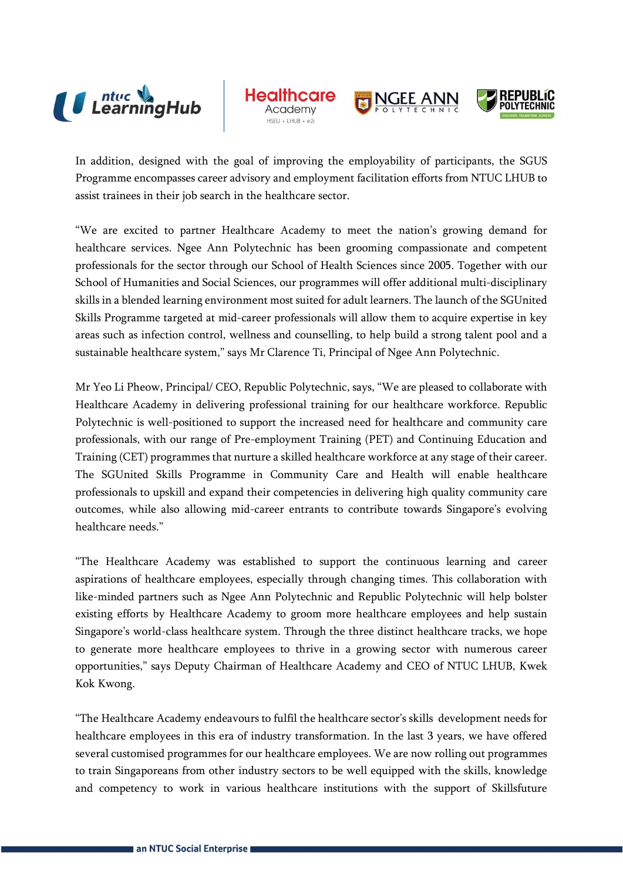

**Healthcc** 





In addition, designed with the goal of improving the employability of participants, the SGUS Programme encompasses career advisory and employment facilitation efforts from NTUC LHUB to assist trainees in their job search in the healthcare sector.

"We are excited to partner Healthcare Academy to meet the nation's growing demand for healthcare services. Ngee Ann Polytechnic has been grooming compassionate and competent professionals for the sector through our School of Health Sciences since 2005. Together with our School of Humanities and Social Sciences, our programmes will offer additional multi-disciplinary skills in a blended learning environment most suited for adult learners. The launch of the SGUnited Skills Programme targeted at mid-career professionals will allow them to acquire expertise in key areas such as infection control, wellness and counselling, to help build a strong talent pool and a sustainable healthcare system," says Mr Clarence Ti, Principal of Ngee Ann Polytechnic.

Mr Yeo Li Pheow, Principal/ CEO, Republic Polytechnic, says, "We are pleased to collaborate with Healthcare Academy in delivering professional training for our healthcare workforce. Republic Polytechnic is well-positioned to support the increased need for healthcare and community care professionals, with our range of Pre-employment Training (PET) and Continuing Education and Training (CET) programmes that nurture a skilled healthcare workforce at any stage of their career. The SGUnited Skills Programme in Community Care and Health will enable healthcare professionals to upskill and expand their competencies in delivering high quality community care outcomes, while also allowing mid-career entrants to contribute towards Singapore's evolving healthcare needs."

"The Healthcare Academy was established to support the continuous learning and career aspirations of healthcare employees, especially through changing times. This collaboration with like-minded partners such as Ngee Ann Polytechnic and Republic Polytechnic will help bolster existing efforts by Healthcare Academy to groom more healthcare employees and help sustain Singapore's world-class healthcare system. Through the three distinct healthcare tracks, we hope to generate more healthcare employees to thrive in a growing sector with numerous career opportunities," says Deputy Chairman of Healthcare Academy and CEO of NTUC LHUB, Kwek Kok Kwong.

"The Healthcare Academy endeavours to fulfil the healthcare sector's skills development needs for healthcare employees in this era of industry transformation. In the last 3 years, we have offered several customised programmes for our healthcare employees. We are now rolling out programmes to train Singaporeans from other industry sectors to be well equipped with the skills, knowledge and competency to work in various healthcare institutions with the support of Skillsfuture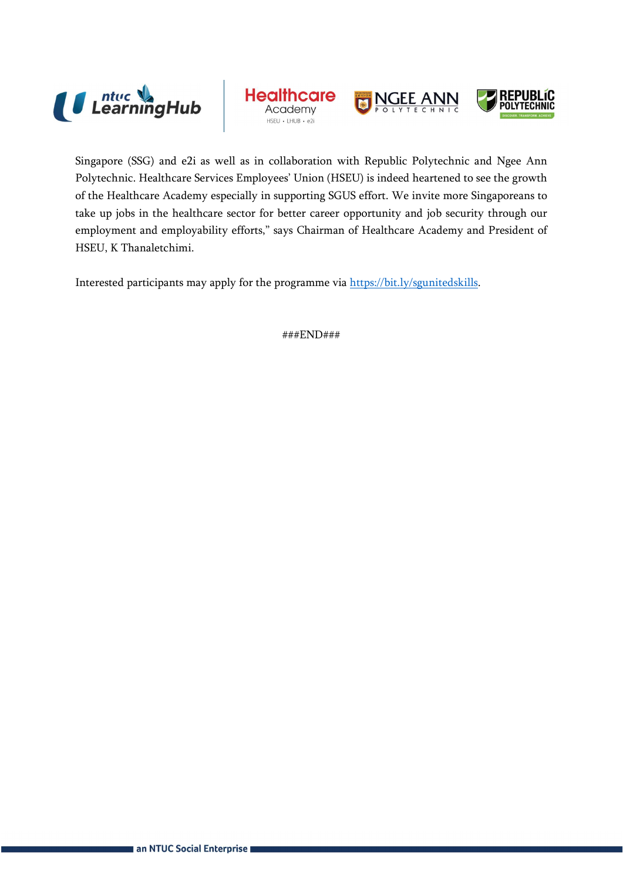

**Healthcare** Academy





Singapore (SSG) and e2i as well as in collaboration with Republic Polytechnic and Ngee Ann Polytechnic. Healthcare Services Employees' Union (HSEU) is indeed heartened to see the growth of the Healthcare Academy especially in supporting SGUS effort. We invite more Singaporeans to take up jobs in the healthcare sector for better career opportunity and job security through our employment and employability efforts," says Chairman of Healthcare Academy and President of HSEU, K Thanaletchimi.

Interested participants may apply for the programme via https://bit.ly/sgunitedskills.

###END###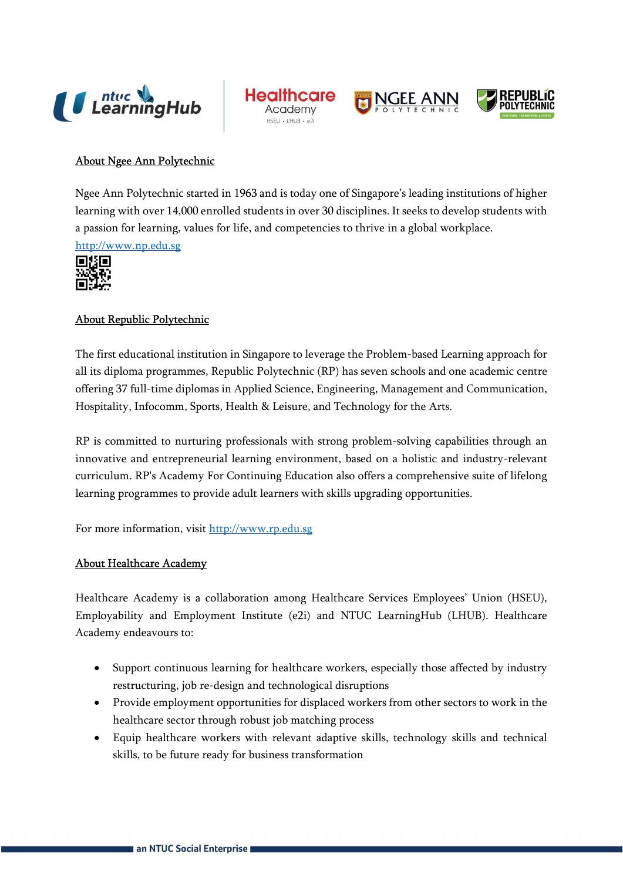







## About Ngee Ann Polytechnic

Ngee Ann Polytechnic started in 1963 and is today one of Singapore's leading institutions of higher learning with over 14,000 enrolled students in over 30 disciplines. It seeks to develop students with a passion for learning, values for life, and competencies to thrive in a global workplace.

http://www.np.edu.sg



## About Republic Polytechnic

The first educational institution in Singapore to leverage the Problem-based Learning approach for all its diploma programmes, Republic Polytechnic (RP) has seven schools and one academic centre offering 37 full-time diplomas in Applied Science, Engineering, Management and Communication, Hospitality, Infocomm, Sports, Health & Leisure, and Technology for the Arts.

RP is committed to nurturing professionals with strong problem-solving capabilities through an innovative and entrepreneurial learning environment, based on a holistic and industry-relevant curriculum. RP's Academy For Continuing Education also offers a comprehensive suite of lifelong learning programmes to provide adult learners with skills upgrading opportunities.

For more information, visit http://www.rp.edu.sg

#### About Healthcare Academy

Healthcare Academy is a collaboration among Healthcare Services Employees' Union (HSEU), Employability and Employment Institute (e2i) and NTUC LearningHub (LHUB). Healthcare Academy endeavours to:

- Support continuous learning for healthcare workers, especially those affected by industry restructuring, job re-design and technological disruptions
- Provide employment opportunities for displaced workers from other sectors to work in the healthcare sector through robust job matching process
- Equip healthcare workers with relevant adaptive skills, technology skills and technical skills, to be future ready for business transformation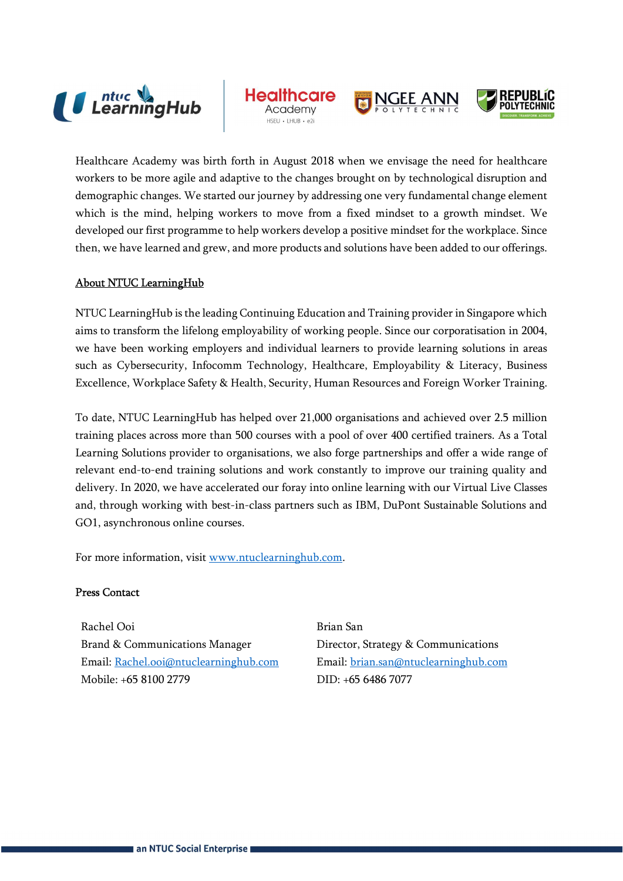

**Healthcc** 





Healthcare Academy was birth forth in August 2018 when we envisage the need for healthcare workers to be more agile and adaptive to the changes brought on by technological disruption and demographic changes. We started our journey by addressing one very fundamental change element which is the mind, helping workers to move from a fixed mindset to a growth mindset. We developed our first programme to help workers develop a positive mindset for the workplace. Since then, we have learned and grew, and more products and solutions have been added to our offerings.

## About NTUC LearningHub

NTUC LearningHub is the leading Continuing Education and Training provider in Singapore which aims to transform the lifelong employability of working people. Since our corporatisation in 2004, we have been working employers and individual learners to provide learning solutions in areas such as Cybersecurity, Infocomm Technology, Healthcare, Employability & Literacy, Business Excellence, Workplace Safety & Health, Security, Human Resources and Foreign Worker Training.

To date, NTUC LearningHub has helped over 21,000 organisations and achieved over 2.5 million training places across more than 500 courses with a pool of over 400 certified trainers. As a Total Learning Solutions provider to organisations, we also forge partnerships and offer a wide range of relevant end-to-end training solutions and work constantly to improve our training quality and delivery. In 2020, we have accelerated our foray into online learning with our Virtual Live Classes and, through working with best-in-class partners such as IBM, DuPont Sustainable Solutions and GO1, asynchronous online courses.

For more information, visit www.ntuclearninghub.com.

### Press Contact

Rachel Ooi Brian San Brand & Communications Manager Director, Strategy & Communications Email: Rachel.ooi@ntuclearninghub.com Email: brian.san@ntuclearninghub.com Mobile: +65 8100 2779 DID: +65 6486 7077